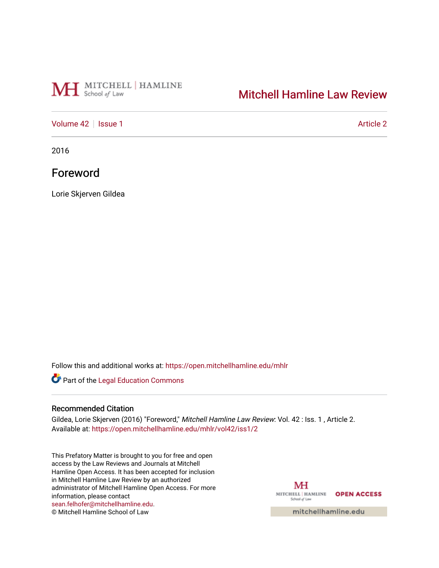# MH School of Law

## [Mitchell Hamline Law Review](https://open.mitchellhamline.edu/mhlr)

## [Volume 42](https://open.mitchellhamline.edu/mhlr/vol42) | [Issue 1](https://open.mitchellhamline.edu/mhlr/vol42/iss1) Article 2

2016

## Foreword

Lorie Skjerven Gildea

Follow this and additional works at: [https://open.mitchellhamline.edu/mhlr](https://open.mitchellhamline.edu/mhlr?utm_source=open.mitchellhamline.edu%2Fmhlr%2Fvol42%2Fiss1%2F2&utm_medium=PDF&utm_campaign=PDFCoverPages) 

Part of the [Legal Education Commons](http://network.bepress.com/hgg/discipline/857?utm_source=open.mitchellhamline.edu%2Fmhlr%2Fvol42%2Fiss1%2F2&utm_medium=PDF&utm_campaign=PDFCoverPages) 

#### Recommended Citation

Gildea, Lorie Skjerven (2016) "Foreword," Mitchell Hamline Law Review: Vol. 42 : Iss. 1, Article 2. Available at: [https://open.mitchellhamline.edu/mhlr/vol42/iss1/2](https://open.mitchellhamline.edu/mhlr/vol42/iss1/2?utm_source=open.mitchellhamline.edu%2Fmhlr%2Fvol42%2Fiss1%2F2&utm_medium=PDF&utm_campaign=PDFCoverPages) 

This Prefatory Matter is brought to you for free and open access by the Law Reviews and Journals at Mitchell Hamline Open Access. It has been accepted for inclusion in Mitchell Hamline Law Review by an authorized administrator of Mitchell Hamline Open Access. For more information, please contact [sean.felhofer@mitchellhamline.edu](mailto:sean.felhofer@mitchellhamline.edu). © Mitchell Hamline School of Law

MH MITCHELL | HAMLINE OPEN ACCESS School of Law

mitchellhamline.edu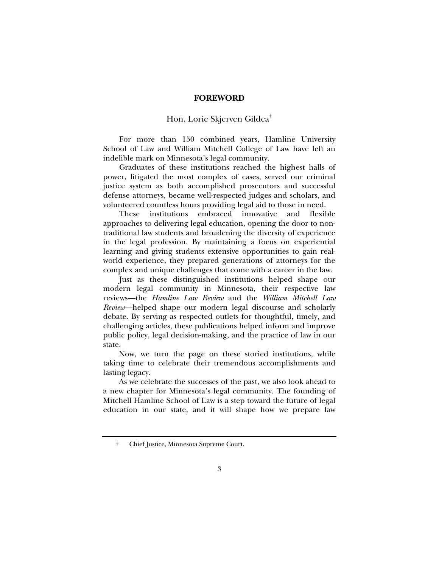#### **FOREWORD**

## Hon. Lorie Skjerven Gildea†

For more than 150 combined years, Hamline University School of Law and William Mitchell College of Law have left an indelible mark on Minnesota's legal community.

Graduates of these institutions reached the highest halls of power, litigated the most complex of cases, served our criminal justice system as both accomplished prosecutors and successful defense attorneys, became well-respected judges and scholars, and volunteered countless hours providing legal aid to those in need.

These institutions embraced innovative and flexible approaches to delivering legal education, opening the door to nontraditional law students and broadening the diversity of experience in the legal profession. By maintaining a focus on experiential learning and giving students extensive opportunities to gain realworld experience, they prepared generations of attorneys for the complex and unique challenges that come with a career in the law.

Just as these distinguished institutions helped shape our modern legal community in Minnesota, their respective law reviews—the *Hamline Law Review* and the *William Mitchell Law Review*—helped shape our modern legal discourse and scholarly debate. By serving as respected outlets for thoughtful, timely, and challenging articles, these publications helped inform and improve public policy, legal decision-making, and the practice of law in our state.

Now, we turn the page on these storied institutions, while taking time to celebrate their tremendous accomplishments and lasting legacy.

As we celebrate the successes of the past, we also look ahead to a new chapter for Minnesota's legal community. The founding of Mitchell Hamline School of Law is a step toward the future of legal education in our state, and it will shape how we prepare law

 <sup>†</sup> Chief Justice, Minnesota Supreme Court.